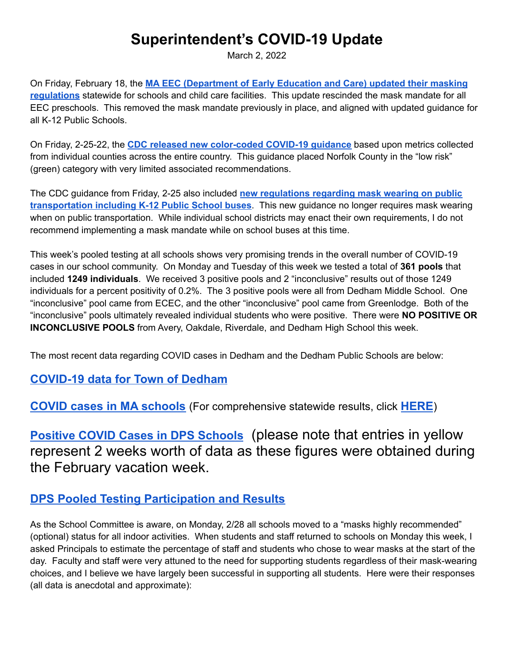## **Superintendent's COVID-19 Update**

March 2, 2022

On Friday, February 18, the **MA EEC [\(Department](https://www.mass.gov/service-details/eecs-health-and-safety-guidance-during-covid-19-recovery-for-child-care-providers) of Early Education and Care) updated their masking [regulations](https://www.mass.gov/service-details/eecs-health-and-safety-guidance-during-covid-19-recovery-for-child-care-providers)** statewide for schools and child care facilities. This update rescinded the mask mandate for all EEC preschools. This removed the mask mandate previously in place, and aligned with updated guidance for all K-12 Public Schools.

On Friday, 2-25-22, the **CDC released new [color-coded](https://www.cdc.gov/coronavirus/2019-ncov/your-health/covid-by-county.html) COVID-19 guidance** based upon metrics collected from individual counties across the entire country. This guidance placed Norfolk County in the "low risk" (green) category with very limited associated recommendations.

The CDC guidance from Friday, 2-25 also included **new [regulations](https://www.cdc.gov/coronavirus/2019-ncov/travelers/face-masks-public-transportation.html) regarding mask wearing on public [transportation](https://www.cdc.gov/coronavirus/2019-ncov/travelers/face-masks-public-transportation.html) including K-12 Public School buses**. This new guidance no longer requires mask wearing when on public transportation. While individual school districts may enact their own requirements, I do not recommend implementing a mask mandate while on school buses at this time.

This week's pooled testing at all schools shows very promising trends in the overall number of COVID-19 cases in our school community. On Monday and Tuesday of this week we tested a total of **361 pools** that included **1249 individuals**. We received 3 positive pools and 2 "inconclusive" results out of those 1249 individuals for a percent positivity of 0.2%. The 3 positive pools were all from Dedham Middle School. One "inconclusive" pool came from ECEC, and the other "inconclusive" pool came from Greenlodge. Both of the "inconclusive" pools ultimately revealed individual students who were positive. There were **NO POSITIVE OR INCONCLUSIVE POOLS** from Avery, Oakdale, Riverdale, and Dedham High School this week.

The most recent data regarding COVID cases in Dedham and the Dedham Public Schools are below:

## **[COVID-19](https://docs.google.com/spreadsheets/d/1F0vWAo41qOq7yWc1jjlxE5yGZBdOr1tAKNjdxvgUPC8/edit#gid=0) data for Town of Dedham**

**COVID cases in MA [schools](https://docs.google.com/spreadsheets/d/1d6DPt7NSX4hf6oUbOhBQBxIcwLbo4ptenP8ANWDL0aE/edit#gid=0)** (For comprehensive statewide results, click **[HERE](https://www.doe.mass.edu/covid19/positive-cases/)**)

**Positive COVID Cases in DPS [Schools](https://docs.google.com/spreadsheets/d/1FZNJKREPrQStoTK36hlMJL3YTE4RCrkfP7UKPaN0MlM/edit#gid=0)** (please note that entries in yellow represent 2 weeks worth of data as these figures were obtained during the February vacation week.

## **DPS Pooled Testing [Participation](https://docs.google.com/spreadsheets/d/1N2HOz75zVCRyj2qxwO6MNrD-Yw7jNgC6slxk5opY3Bw/edit?usp=sharing) and Results**

As the School Committee is aware, on Monday, 2/28 all schools moved to a "masks highly recommended" (optional) status for all indoor activities. When students and staff returned to schools on Monday this week, I asked Principals to estimate the percentage of staff and students who chose to wear masks at the start of the day. Faculty and staff were very attuned to the need for supporting students regardless of their mask-wearing choices, and I believe we have largely been successful in supporting all students. Here were their responses (all data is anecdotal and approximate):